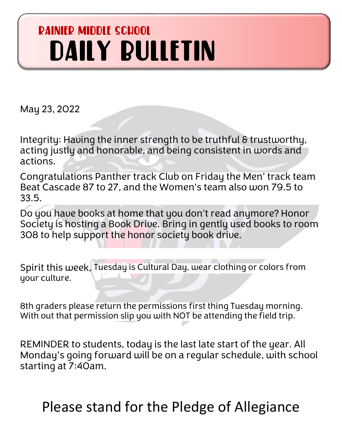# Rainier Middle School DAILY BULLETIN

May 23, 2022

Integrity: Having the inner strength to be truthful & trustworthy, acting justly and honorable, and being consistent in words and actions.

Congratulations Panther track Club on Friday the Men' track team Beat Cascade 87 to 27, and the Women's team also won 79.5 to 33.5.

Do you have books at home that you don't read anymore? Honor Society is hosting a Book Drive. Bring in gently used books to room 308 to help support the honor society book drive.

Spirit this week, Tuesday is Cultural Day, wear clothing or colors from your culture.

8th graders please return the permissions first thing Tuesday morning. With out that permission slip you with NOT be attending the field trip.

REMINDER to students, today is the last late start of the year. All Monday's going forward will be on a regular schedule, with school starting at 7:40am.

Please stand for the Pledge of Allegiance